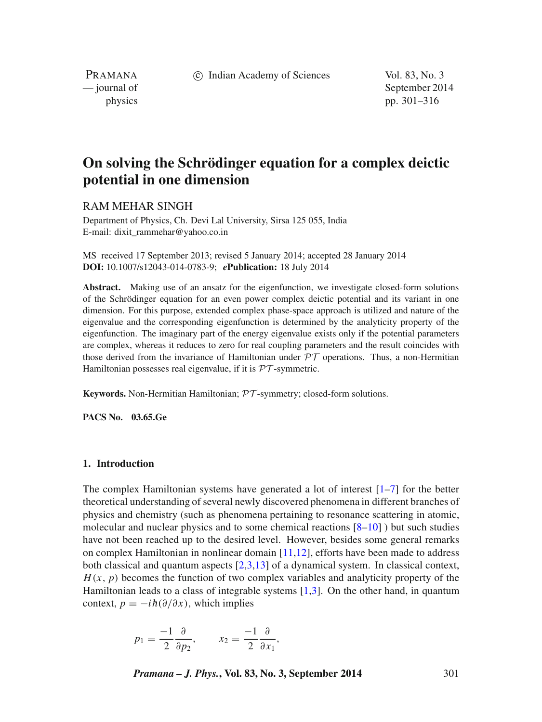c Indian Academy of Sciences Vol. 83, No. 3

PRAMANA

— journal of September 2014 physics pp. 301–316

# **On solving the Schrödinger equation for a complex deictic potential in one dimension**

# RAM MEHAR SINGH

Department of Physics, Ch. Devi Lal University, Sirsa 125 055, India E-mail: dixit\_rammehar@yahoo.co.in

MS received 17 September 2013; revised 5 January 2014; accepted 28 January 2014 **DOI:** 10.1007/s12043-014-0783-9; *e***Publication:** 18 July 2014

**Abstract.** Making use of an ansatz for the eigenfunction, we investigate closed-form solutions of the Schrödinger equation for an even power complex deictic potential and its variant in one dimension. For this purpose, extended complex phase-space approach is utilized and nature of the eigenvalue and the corresponding eigenfunction is determined by the analyticity property of the eigenfunction. The imaginary part of the energy eigenvalue exists only if the potential parameters are complex, whereas it reduces to zero for real coupling parameters and the result coincides with those derived from the invariance of Hamiltonian under *PT* operations. Thus, a non-Hermitian Hamiltonian possesses real eigenvalue, if it is *PT* -symmetric.

**Keywords.** Non-Hermitian Hamiltonian; *PT* -symmetry; closed-form solutions.

**PACS No. 03.65.Ge**

#### **1. Introduction**

The complex Hamiltonian systems have generated a lot of interest  $[1-7]$  $[1-7]$  for the better theoretical understanding of several newly discovered phenomena in different branches of physics and chemistry (such as phenomena pertaining to resonance scattering in atomic, molecular and nuclear physics and to some chemical reactions  $[8-10]$  $[8-10]$  ) but such studies have not been reached up to the desired level. However, besides some general remarks on complex Hamiltonian in nonlinear domain [\[11,](#page-15-2)[12\]](#page-15-3), efforts have been made to address both classical and quantum aspects [\[2](#page-14-2)[,3](#page-14-3)[,13\]](#page-15-4) of a dynamical system. In classical context,  $H(x, p)$  becomes the function of two complex variables and analyticity property of the Hamiltonian leads to a class of integrable systems [\[1](#page-14-0)[,3\]](#page-14-3). On the other hand, in quantum context,  $p = -i\hbar(\partial/\partial x)$ , which implies

$$
p_1 = \frac{-1}{2} \frac{\partial}{\partial p_2}, \qquad x_2 = \frac{-1}{2} \frac{\partial}{\partial x_1},
$$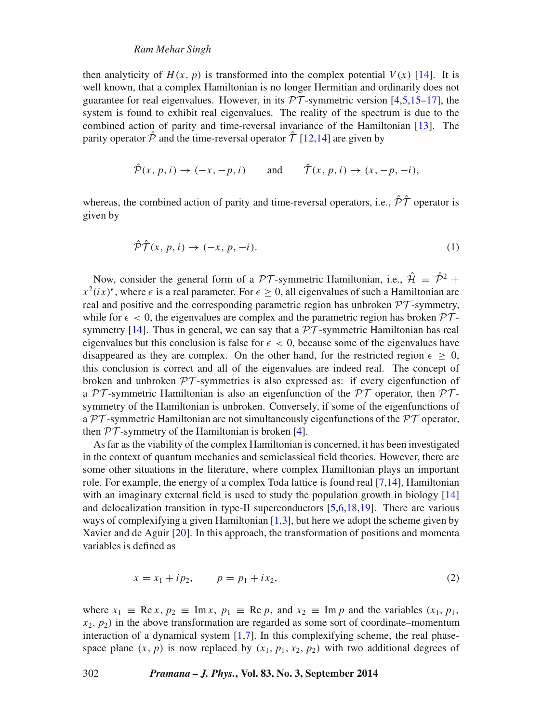### *Ram Mehar Singh*

then analyticity of  $H(x, p)$  is transformed into the complex potential  $V(x)$  [\[14\]](#page-15-5). It is well known, that a complex Hamiltonian is no longer Hermitian and ordinarily does not guarantee for real eigenvalues. However, in its  $\mathcal{PT}$ -symmetric version [\[4,](#page-14-4)[5](#page-14-5)[,15](#page-15-6)[–17\]](#page-15-7), the system is found to exhibit real eigenvalues. The reality of the spectrum is due to the combined action of parity and time-reversal invariance of the Hamiltonian [\[13\]](#page-15-4). The parity operator  $\hat{\mathcal{P}}$  and the time-reversal operator  $\hat{\mathcal{T}}$  [\[12](#page-15-3)[,14\]](#page-15-5) are given by

$$
\hat{\mathcal{P}}(x, p, i) \rightarrow (-x, -p, i)
$$
 and  $\hat{\mathcal{T}}(x, p, i) \rightarrow (x, -p, -i)$ ,

whereas, the combined action of parity and time-reversal operators, i.e.,  $\hat{\mathcal{P}}\hat{\mathcal{T}}$  operator is given by

<span id="page-1-1"></span>
$$
\hat{\mathcal{P}}\hat{\mathcal{T}}(x,p,i)\to(-x,p,-i). \tag{1}
$$

Now, consider the general form of a  $\mathcal{PT}$ -symmetric Hamiltonian, i.e.,  $\hat{\mathcal{H}} = \hat{\mathcal{P}}^2$  +  $x^2$ (ix)<sup> $\epsilon$ </sup>, where  $\epsilon$  is a real parameter. For  $\epsilon > 0$ , all eigenvalues of such a Hamiltonian are real and positive and the corresponding parametric region has unbroken  $\mathcal{PT}$ -symmetry, while for  $\epsilon < 0$ , the eigenvalues are complex and the parametric region has broken  $\mathcal{PT}$ symmetry  $[14]$ . Thus in general, we can say that a  $\mathcal{PT}$ -symmetric Hamiltonian has real eigenvalues but this conclusion is false for  $\epsilon < 0$ , because some of the eigenvalues have disappeared as they are complex. On the other hand, for the restricted region  $\epsilon \geq 0$ , this conclusion is correct and all of the eigenvalues are indeed real. The concept of broken and unbroken *PT* -symmetries is also expressed as: if every eigenfunction of a  $\mathcal{P}\mathcal{T}$ -symmetric Hamiltonian is also an eigenfunction of the  $\mathcal{P}\mathcal{T}$  operator, then  $\mathcal{P}\mathcal{T}$ symmetry of the Hamiltonian is unbroken. Conversely, if some of the eigenfunctions of a *PT* -symmetric Hamiltonian are not simultaneously eigenfunctions of the *PT* operator, then  $PT$ -symmetry of the Hamiltonian is broken [\[4\]](#page-14-4).

As far as the viability of the complex Hamiltonian is concerned, it has been investigated in the context of quantum mechanics and semiclassical field theories. However, there are some other situations in the literature, where complex Hamiltonian plays an important role. For example, the energy of a complex Toda lattice is found real [\[7,](#page-14-1)[14\]](#page-15-5), Hamiltonian with an imaginary external field is used to study the population growth in biology [\[14\]](#page-15-5) and delocalization transition in type-II superconductors [\[5,](#page-14-5)[6,](#page-14-6)[18](#page-15-8)[,19\]](#page-15-9). There are various ways of complexifying a given Hamiltonian  $[1,3]$  $[1,3]$ , but here we adopt the scheme given by Xavier and de Aguir [\[20\]](#page-15-10). In this approach, the transformation of positions and momenta variables is defined as

<span id="page-1-0"></span>
$$
x = x_1 + ip_2, \qquad p = p_1 + ix_2,\tag{2}
$$

where  $x_1 \equiv \text{Re } x, p_2 \equiv \text{Im } x, p_1 \equiv \text{Re } p, \text{ and } x_2 \equiv \text{Im } p \text{ and the variables } (x_1, p_1, p_2)$  $x_2, p_2$ ) in the above transformation are regarded as some sort of coordinate–momentum interaction of a dynamical system [\[1](#page-14-0)[,7\]](#page-14-1). In this complexifying scheme, the real phasespace plane  $(x, p)$  is now replaced by  $(x_1, p_1, x_2, p_2)$  with two additional degrees of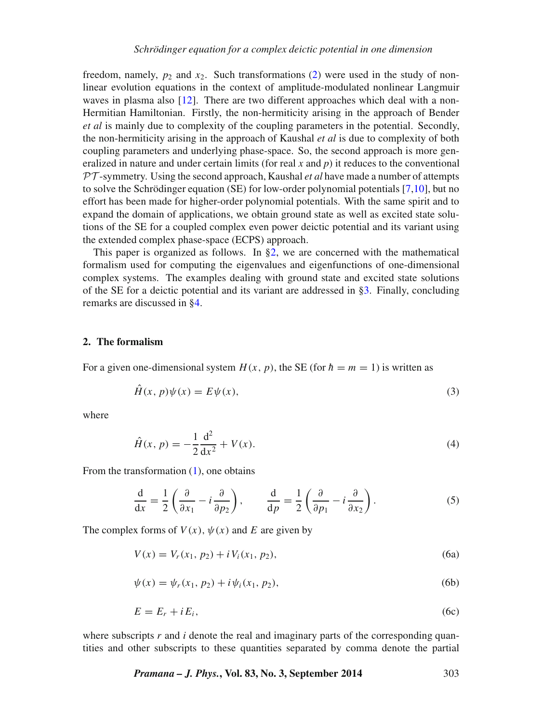freedom, namely,  $p_2$  and  $x_2$ . Such transformations [\(2\)](#page-1-0) were used in the study of nonlinear evolution equations in the context of amplitude-modulated nonlinear Langmuir waves in plasma also [\[12\]](#page-15-3). There are two different approaches which deal with a non-Hermitian Hamiltonian. Firstly, the non-hermiticity arising in the approach of Bender *et al* is mainly due to complexity of the coupling parameters in the potential. Secondly, the non-hermiticity arising in the approach of Kaushal *et al* is due to complexity of both coupling parameters and underlying phase-space. So, the second approach is more generalized in nature and under certain limits (for real *x* and *p*) it reduces to the conventional *PT* -symmetry. Using the second approach, Kaushal *et al* have made a number of attempts to solve the Schrödinger equation (SE) for low-order polynomial potentials [\[7](#page-14-1)[,10\]](#page-15-1), but no effort has been made for higher-order polynomial potentials. With the same spirit and to expand the domain of applications, we obtain ground state as well as excited state solutions of the SE for a coupled complex even power deictic potential and its variant using the extended complex phase-space (ECPS) approach.

This paper is organized as follows. In  $\S2$ , we are concerned with the mathematical formalism used for computing the eigenvalues and eigenfunctions of one-dimensional complex systems. The examples dealing with ground state and excited state solutions of the SE for a deictic potential and its variant are addressed in [§3.](#page-4-0) Finally, concluding remarks are discussed in [§4.](#page-14-7)

#### <span id="page-2-0"></span>**2. The formalism**

For a given one-dimensional system  $H(x, p)$ , the SE (for  $\hbar = m = 1$ ) is written as

<span id="page-2-3"></span>
$$
\hat{H}(x, p)\psi(x) = E\psi(x),\tag{3}
$$

where

<span id="page-2-1"></span>
$$
\hat{H}(x, p) = -\frac{1}{2}\frac{d^2}{dx^2} + V(x).
$$
\n(4)

From the transformation [\(1\)](#page-1-1), one obtains

$$
\frac{\mathrm{d}}{\mathrm{d}x} = \frac{1}{2} \left( \frac{\partial}{\partial x_1} - i \frac{\partial}{\partial p_2} \right), \qquad \frac{\mathrm{d}}{\mathrm{d}p} = \frac{1}{2} \left( \frac{\partial}{\partial p_1} - i \frac{\partial}{\partial x_2} \right). \tag{5}
$$

The complex forms of  $V(x)$ ,  $\psi(x)$  and E are given by

$$
V(x) = V_r(x_1, p_2) + i V_i(x_1, p_2),
$$
\n(6a)

<span id="page-2-4"></span>
$$
\psi(x) = \psi_r(x_1, p_2) + i\psi_i(x_1, p_2),
$$
\n(6b)

<span id="page-2-2"></span>
$$
E = E_r + iE_i, \tag{6c}
$$

where subscripts *r* and *i* denote the real and imaginary parts of the corresponding quantities and other subscripts to these quantities separated by comma denote the partial

*Pramana – J. Phys.***, Vol. 83, No. 3, September 2014** 303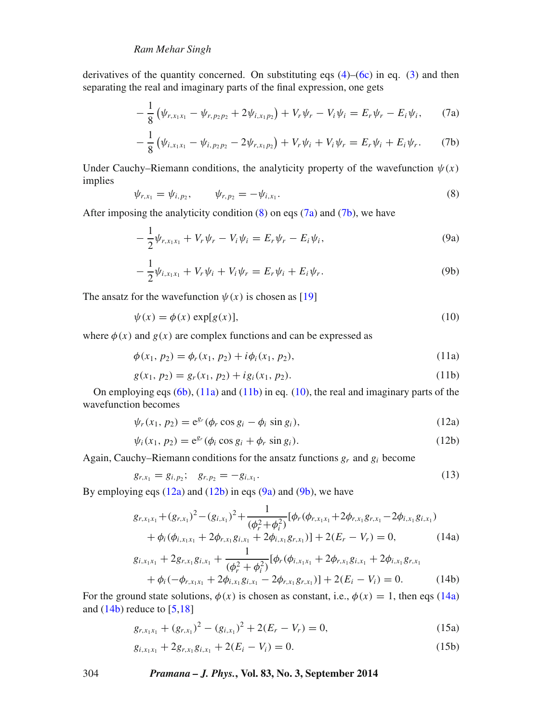derivatives of the quantity concerned. On substituting eqs  $(4)$ – $(6c)$  in eq. [\(3\)](#page-2-3) and then separating the real and imaginary parts of the final expression, one gets

<span id="page-3-0"></span>
$$
-\frac{1}{8} \left( \psi_{r,x_1x_1} - \psi_{r,p_2p_2} + 2 \psi_{i,x_1p_2} \right) + V_r \psi_r - V_i \psi_i = E_r \psi_r - E_i \psi_i, \qquad (7a)
$$

<span id="page-3-1"></span>
$$
-\frac{1}{8}(\psi_{i,x_1x_1}-\psi_{i,p_2p_2}-2\psi_{r,x_1p_2})+V_r\psi_i+V_i\psi_r=E_r\psi_i+E_i\psi_r.
$$
 (7b)

Under Cauchy–Riemann conditions, the analyticity property of the wavefunction  $\psi(x)$ implies

$$
\psi_{r,x_1} = \psi_{i,p_2}, \qquad \psi_{r,p_2} = -\psi_{i,x_1}.
$$
\n(8)

After imposing the analyticity condition  $(8)$  on eqs  $(7a)$  and  $(7b)$ , we have

$$
-\frac{1}{2}\psi_{r,x_1x_1} + V_r\psi_r - V_i\psi_i = E_r\psi_r - E_i\psi_i,
$$
\n(9a)

$$
-\frac{1}{2}\psi_{i,x_1x_1} + V_r\psi_i + V_i\psi_r = E_r\psi_i + E_i\psi_r.
$$
 (9b)

The ansatz for the wavefunction  $\psi(x)$  is chosen as [\[19\]](#page-15-9)

$$
\psi(x) = \phi(x) \exp[g(x)],\tag{10}
$$

where  $\phi(x)$  and  $g(x)$  are complex functions and can be expressed as

<span id="page-3-2"></span>
$$
\phi(x_1, p_2) = \phi_r(x_1, p_2) + i\phi_i(x_1, p_2),\tag{11a}
$$

<span id="page-3-3"></span>
$$
g(x_1, p_2) = g_r(x_1, p_2) + ig_i(x_1, p_2).
$$
\n(11b)

On employing eqs  $(6b)$ ,  $(11a)$  and  $(11b)$  in eq.  $(10)$ , the real and imaginary parts of the wavefunction becomes

<span id="page-3-4"></span>
$$
\psi_r(x_1, p_2) = e^{g_r} (\phi_r \cos g_i - \phi_i \sin g_i), \qquad (12a)
$$

<span id="page-3-5"></span>
$$
\psi_i(x_1, p_2) = e^{g_r} (\phi_i \cos g_i + \phi_r \sin g_i).
$$
\n(12b)

Again, Cauchy–Riemann conditions for the ansatz functions  $g_r$  and  $g_i$  become

$$
g_{r,x_1} = g_{i,p_2}; \quad g_{r,p_2} = -g_{i,x_1}.
$$
\n(13)

By employing eqs  $(12a)$  and  $(12b)$  in eqs  $(9a)$  and  $(9b)$ , we have

$$
g_{r,x_1x_1} + (g_{r,x_1})^2 - (g_{i,x_1})^2 + \frac{1}{(\phi_r^2 + \phi_i^2)} [\phi_r(\phi_{r,x_1x_1} + 2\phi_{r,x_1}g_{r,x_1} - 2\phi_{i,x_1}g_{i,x_1}) + \phi_i(\phi_{i,x_1x_1} + 2\phi_{r,x_1}g_{i,x_1} + 2\phi_{i,x_1}g_{r,x_1})] + 2(E_r - V_r) = 0,
$$
(14a)

<span id="page-3-6"></span>
$$
g_{i,x_1x_1} + 2g_{r,x_1}g_{i,x_1} + \frac{1}{(\phi_r^2 + \phi_i^2)}[\phi_r(\phi_{i,x_1x_1} + 2\phi_{r,x_1}g_{i,x_1} + 2\phi_{i,x_1}g_{r,x_1} + \phi_i(-\phi_{r,x_1x_1} + 2\phi_{i,x_1}g_{i,x_1} - 2\phi_{r,x_1}g_{r,x_1})] + 2(E_i - V_i) = 0.
$$
 (14b)

For the ground state solutions,  $\phi(x)$  is chosen as constant, i.e.,  $\phi(x) = 1$ , then eqs [\(14a\)](#page-3-5) and (14b) reduce to [5, 18] and  $(14b)$  reduce to  $[5,18]$  $[5,18]$ 

<span id="page-3-7"></span>
$$
g_{r,x_1x_1} + (g_{r,x_1})^2 - (g_{i,x_1})^2 + 2(E_r - V_r) = 0,
$$
\n(15a)

<span id="page-3-8"></span>
$$
g_{i,x_1x_1} + 2g_{r,x_1}g_{i,x_1} + 2(E_i - V_i) = 0.
$$
\n(15b)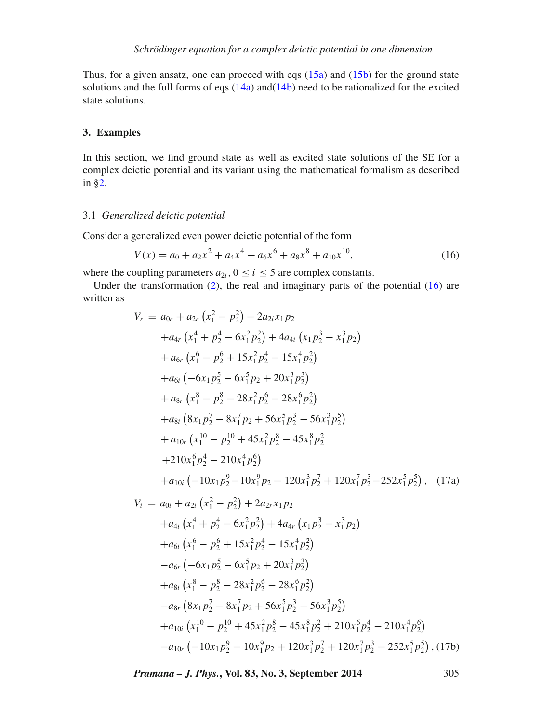Thus, for a given ansatz, one can proceed with eqs  $(15a)$  and  $(15b)$  for the ground state solutions and the full forms of eqs  $(14a)$  and $(14b)$  need to be rationalized for the excited state solutions.

# <span id="page-4-0"></span>**3. Examples**

In this section, we find ground state as well as excited state solutions of the SE for a complex deictic potential and its variant using the mathematical formalism as described in [§2.](#page-2-0)

#### <span id="page-4-4"></span>3.1 *Generalized deictic potential*

Consider a generalized even power deictic potential of the form

<span id="page-4-1"></span>
$$
V(x) = a_0 + a_2 x^2 + a_4 x^4 + a_6 x^6 + a_8 x^8 + a_{10} x^{10},
$$
\n(16)

where the coupling parameters  $a_{2i}$ ,  $0 \le i \le 5$  are complex constants.

Under the transformation  $(2)$ , the real and imaginary parts of the potential  $(16)$  are written as

<span id="page-4-3"></span><span id="page-4-2"></span>
$$
V_r = a_{0r} + a_{2r} (x_1^2 - p_2^2) - 2a_{2i}x_1p_2
$$
  
\n
$$
+ a_{4r} (x_1^4 + p_2^4 - 6x_1^2p_2^2) + 4a_{4i} (x_1p_2^3 - x_1^3p_2)
$$
  
\n
$$
+ a_{6r} (x_1^6 - p_2^6 + 15x_1^2p_2^4 - 15x_1^4p_2^2)
$$
  
\n
$$
+ a_{6i} (-6x_1p_2^5 - 6x_1^5p_2 + 20x_1^3p_2^3)
$$
  
\n
$$
+ a_{8r} (x_1^8 - p_2^8 - 28x_1^2p_2^6 - 28x_1^6p_2^2)
$$
  
\n
$$
+ a_{8i} (8x_1p_2^7 - 8x_1^7p_2 + 56x_1^5p_2^3 - 56x_1^3p_2^5)
$$
  
\n
$$
+ a_{10r} (x_1^{10} - p_2^{10} + 45x_1^2p_2^8 - 45x_1^8p_2^2
$$
  
\n
$$
+ 210x_1^6p_2^4 - 210x_1^4p_2^6)
$$
  
\n
$$
+ a_{10i} (-10x_1p_2^9 - 10x_1^9p_2 + 120x_1^3p_2^7 + 120x_1^7p_2^3 - 252x_1^5p_2^5), (17a)
$$
  
\n
$$
V_i = a_{0i} + a_{2i} (x_1^2 - p_2^2) + 2a_{2r}x_1p_2
$$
  
\n
$$
+ a_{4i} (x_1^4 + p_2^4 - 6x_1^2p_2^2) + 4a_{4r} (x_1p_2^3 - x_1^3p_2)
$$
  
\n
$$
+ a_{6i} (x_1^6 - p_2^6 + 15x_1^2p_2^4 - 15x_1^4p_2^2)
$$
  
\n
$$
- a_{6r} (-6x_1p_2^5 - 6x_1
$$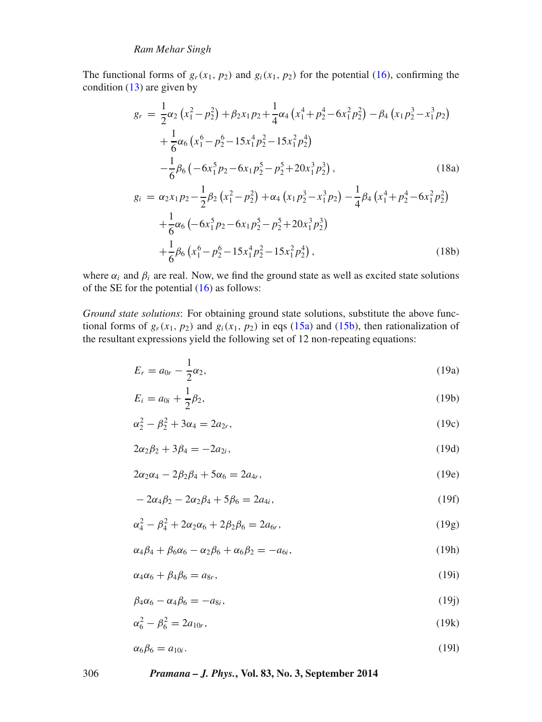The functional forms of  $g_r(x_1, p_2)$  and  $g_i(x_1, p_2)$  for the potential [\(16\)](#page-4-1), confirming the condition  $(13)$  are given by

<span id="page-5-11"></span><span id="page-5-10"></span>
$$
g_r = \frac{1}{2}\alpha_2 \left(x_1^2 - p_2^2\right) + \beta_2 x_1 p_2 + \frac{1}{4}\alpha_4 \left(x_1^4 + p_2^4 - 6x_1^2 p_2^2\right) - \beta_4 \left(x_1 p_2^3 - x_1^3 p_2\right) + \frac{1}{6}\alpha_6 \left(x_1^6 - p_2^6 - 15x_1^4 p_2^2 - 15x_1^2 p_2^4\right) - \frac{1}{6}\beta_6 \left(-6x_1^5 p_2 - 6x_1 p_2^5 - p_2^5 + 20x_1^3 p_2^3\right), \qquad (18a)
$$
  

$$
g_i = \alpha_2 x_1 p_2 - \frac{1}{2}\beta_2 \left(x_1^2 - p_2^2\right) + \alpha_4 \left(x_1 p_2^3 - x_1^3 p_2\right) - \frac{1}{4}\beta_4 \left(x_1^4 + p_2^4 - 6x_1^2 p_2^2\right) + \frac{1}{6}\alpha_6 \left(-6x_1^5 p_2 - 6x_1 p_2^5 - p_2^5 + 20x_1^3 p_2^3\right) + \frac{1}{6}\beta_6 \left(x_1^6 - p_2^6 - 15x_1^4 p_2^2 - 15x_1^2 p_2^4\right), \qquad (18b)
$$

where  $\alpha_i$  and  $\beta_i$  are real. Now, we find the ground state as well as excited state solutions of the SE for the potential [\(16\)](#page-4-1) as follows:

*Ground state solutions*: For obtaining ground state solutions, substitute the above functional forms of  $g_r(x_1, p_2)$  and  $g_i(x_1, p_2)$  in eqs [\(15a\)](#page-3-7) and [\(15b\)](#page-3-8), then rationalization of the resultant expressions yield the following set of 12 non-repeating equations:

<span id="page-5-12"></span>
$$
E_r = a_{0r} - \frac{1}{2}\alpha_2,\tag{19a}
$$

<span id="page-5-13"></span>
$$
E_i = a_{0i} + \frac{1}{2}\beta_2,\tag{19b}
$$

<span id="page-5-0"></span>
$$
\alpha_2^2 - \beta_2^2 + 3\alpha_4 = 2a_{2r},\tag{19c}
$$

<span id="page-5-1"></span>
$$
2\alpha_2\beta_2 + 3\beta_4 = -2a_{2i},\tag{19d}
$$

<span id="page-5-8"></span>
$$
2\alpha_2\alpha_4 - 2\beta_2\beta_4 + 5\alpha_6 = 2a_{4r},\tag{19e}
$$

<span id="page-5-9"></span>
$$
-2\alpha_4\beta_2 - 2\alpha_2\beta_4 + 5\beta_6 = 2a_{4i},\tag{19f}
$$

<span id="page-5-2"></span>
$$
\alpha_4^2 - \beta_4^2 + 2\alpha_2\alpha_6 + 2\beta_2\beta_6 = 2a_{6r},\tag{19g}
$$

<span id="page-5-3"></span>
$$
\alpha_4 \beta_4 + \beta_6 \alpha_6 - \alpha_2 \beta_6 + \alpha_6 \beta_2 = -a_{6i},\tag{19h}
$$

<span id="page-5-6"></span>
$$
\alpha_4 \alpha_6 + \beta_4 \beta_6 = a_{8r},\tag{19}
$$

<span id="page-5-7"></span>
$$
\beta_4 \alpha_6 - \alpha_4 \beta_6 = -a_{8i},\tag{19}
$$

<span id="page-5-4"></span>
$$
\alpha_6^2 - \beta_6^2 = 2a_{10r},\tag{19k}
$$

<span id="page-5-5"></span>
$$
\alpha_6 \beta_6 = a_{10i}.\tag{191}
$$

306 *Pramana – J. Phys.***, Vol. 83, No. 3, September 2014**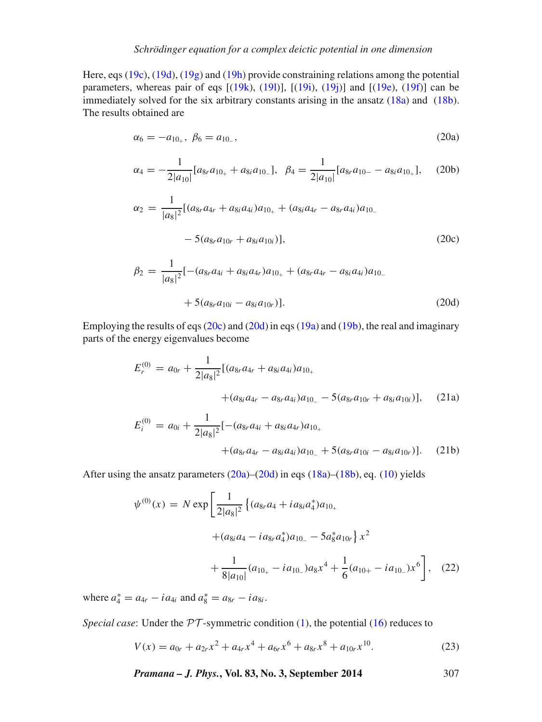Here, eqs [\(19c\)](#page-5-0), [\(19d\)](#page-5-1), [\(19g\)](#page-5-2) and [\(19h\)](#page-5-3) provide constraining relations among the potential parameters, whereas pair of eqs  $[(19k), (19l)], [(19i), (19j)]$  $[(19k), (19l)], [(19i), (19j)]$  $[(19k), (19l)], [(19i), (19j)]$  $[(19k), (19l)], [(19i), (19j)]$  $[(19k), (19l)], [(19i), (19j)]$  $[(19k), (19l)], [(19i), (19j)]$  $[(19k), (19l)], [(19i), (19j)]$  $[(19k), (19l)], [(19i), (19j)]$  $[(19k), (19l)], [(19i), (19j)]$  and  $[(19e), (19f)]$  $[(19e), (19f)]$  $[(19e), (19f)]$  $[(19e), (19f)]$  $[(19e), (19f)]$  can be immediately solved for the six arbitrary constants arising in the ansatz [\(18a\)](#page-5-10) and [\(18b\)](#page-5-11). The results obtained are

<span id="page-6-2"></span>
$$
\alpha_6 = -a_{10_+}, \ \beta_6 = a_{10_-}, \tag{20a}
$$

<span id="page-6-3"></span>
$$
\alpha_4 = -\frac{1}{2|a_{10}|} [a_{8r} a_{10_+} + a_{8i} a_{10_-}], \ \ \beta_4 = \frac{1}{2|a_{10}|} [a_{8r} a_{10_-} - a_{8i} a_{10_+}], \ \ (20b)
$$

<span id="page-6-0"></span>
$$
\alpha_2 = \frac{1}{|a_8|^2} [(a_{8r}a_{4r} + a_{8i}a_{4i})a_{10_+} + (a_{8i}a_{4r} - a_{8r}a_{4i})a_{10_-}
$$

$$
- 5(a_{8r}a_{10r} + a_{8i}a_{10i})], \qquad (20c)
$$

<span id="page-6-1"></span>
$$
\beta_2 = \frac{1}{|a_8|^2} [-(a_{8r}a_{4i} + a_{8i}a_{4r})a_{10_+} + (a_{8r}a_{4r} - a_{8i}a_{4i})a_{10_-} \n+ 5(a_{8r}a_{10i} - a_{8i}a_{10r})].
$$
\n(20d)

Employing the results of eqs [\(20c\)](#page-6-0) and [\(20d\)](#page-6-1) in eqs [\(19a\)](#page-5-12) and [\(19b\)](#page-5-13), the real and imaginary parts of the energy eigenvalues become

<span id="page-6-4"></span>
$$
E_r^{(0)} = a_{0r} + \frac{1}{2|a_8|^2} [(a_{8r}a_{4r} + a_{8i}a_{4i})a_{10_+}
$$
  
 
$$
+ (a_{8i}a_{4r} - a_{8r}a_{4i})a_{10_-} - 5(a_{8r}a_{10r} + a_{8i}a_{10i})], \quad (21a)
$$

<span id="page-6-5"></span>
$$
E_i^{(0)} = a_{0i} + \frac{1}{2|a_8|^2} [-(a_{8r}a_{4i} + a_{8i}a_{4r})a_{10+} + (a_{8r}a_{4r} - a_{8i}a_{4i})a_{10-} + 5(a_{8r}a_{10i} - a_{8i}a_{10r})].
$$
 (21b)

After using the ansatz parameters  $(20a)$ – $(20d)$  in eqs  $(18a)$ – $(18b)$ , eq.  $(10)$  yields

$$
\psi^{(0)}(x) = N \exp\left[\frac{1}{2|a_8|^2} \left\{ (a_{8r}a_4 + ia_{8i}a_4^*)a_{10_+} + (a_{8i}a_4 - ia_{8r}a_4^*)a_{10_-} - 5a_8^*a_{10r} \right\} x^2 + \frac{1}{8|a_{10}|}(a_{10_+} - ia_{10_-})a_8x^4 + \frac{1}{6}(a_{10_+} - ia_{10_-})x^6 \right], \quad (22)
$$

where  $a_4^* = a_{4r} - i a_{4i}$  and  $a_8^* = a_{8r} - i a_{8i}$ .

*Special case*: Under the  $PT$ -symmetric condition [\(1\)](#page-1-1), the potential [\(16\)](#page-4-1) reduces to

$$
V(x) = a_{0r} + a_{2r}x^2 + a_{4r}x^4 + a_{6r}x^6 + a_{8r}x^8 + a_{10r}x^{10}.
$$
 (23)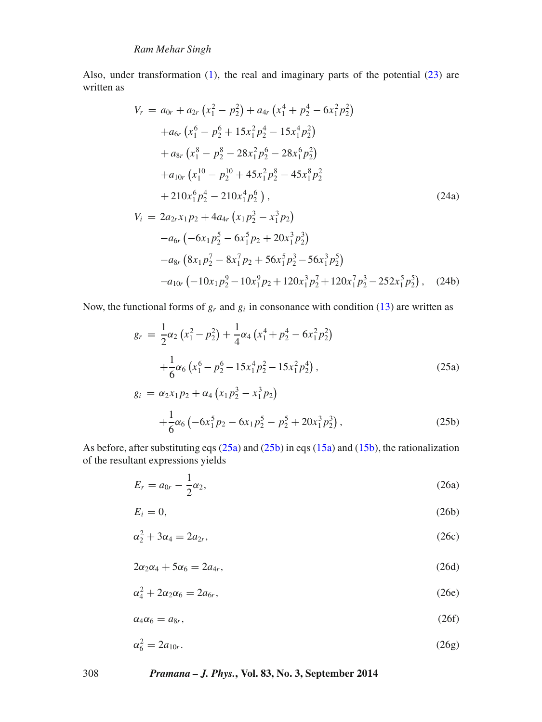Also, under transformation [\(1\)](#page-1-1), the real and imaginary parts of the potential [\(23\)](#page-5-0) are written as

$$
V_r = a_{0r} + a_{2r} (x_1^2 - p_2^2) + a_{4r} (x_1^4 + p_2^4 - 6x_1^2 p_2^2)
$$
  
\n
$$
+ a_{6r} (x_1^6 - p_2^6 + 15x_1^2 p_2^4 - 15x_1^4 p_2^2)
$$
  
\n
$$
+ a_{8r} (x_1^8 - p_2^8 - 28x_1^2 p_2^6 - 28x_1^6 p_2^2)
$$
  
\n
$$
+ a_{10r} (x_1^{10} - p_2^{10} + 45x_1^2 p_2^8 - 45x_1^8 p_2^2
$$
  
\n
$$
+ 210x_1^6 p_2^4 - 210x_1^4 p_2^6),
$$
  
\n
$$
V_i = 2a_{2r}x_1p_2 + 4a_{4r} (x_1p_2^3 - x_1^3p_2)
$$
  
\n
$$
-a_{6r} (-6x_1p_2^5 - 6x_1^5 p_2 + 20x_1^3 p_2^3)
$$
  
\n
$$
-a_{8r} (8x_1p_2^7 - 8x_1^7 p_2 + 56x_1^5 p_2^3 - 56x_1^3 p_2^5)
$$
  
\n
$$
-a_{10r} (-10x_1p_2^9 - 10x_1^9 p_2 + 120x_1^3 p_2^7 + 120x_1^7 p_2^3 - 252x_1^5 p_2^5),
$$
 (24b)

Now, the functional forms of  $g_r$  and  $g_i$  in consonance with condition [\(13\)](#page-3-4) are written as

$$
g_r = \frac{1}{2}\alpha_2 \left(x_1^2 - p_2^2\right) + \frac{1}{4}\alpha_4 \left(x_1^4 + p_2^4 - 6x_1^2 p_2^2\right) + \frac{1}{6}\alpha_6 \left(x_1^6 - p_2^6 - 15x_1^4 p_2^2 - 15x_1^2 p_2^4\right),
$$
  
\n
$$
g_i = \alpha_2 x_1 p_2 + \alpha_4 \left(x_1 p_2^3 - x_1^3 p_2\right)
$$
\n(25a)

$$
= \alpha_2 x_1 p_2 + \alpha_4 (x_1 p_2^3 - x_1^3 p_2)
$$
  
+  $\frac{1}{6} \alpha_6 (-6x_1^5 p_2 - 6x_1 p_2^5 - p_2^5 + 20x_1^3 p_2^3)$ , (25b)

As before, after substituting eqs [\(25a\)](#page-5-9) and [\(25b\)](#page-5-2) in eqs [\(15a\)](#page-3-7) and [\(15b\)](#page-3-8), the rationalization of the resultant expressions yields

$$
E_r = a_{0r} - \frac{1}{2}\alpha_2, \tag{26a}
$$

$$
E_i = 0,\t\t(26b)
$$

$$
\alpha_2^2 + 3\alpha_4 = 2a_{2r},\tag{26c}
$$

$$
2\alpha_2\alpha_4 + 5\alpha_6 = 2a_{4r},\tag{26d}
$$

$$
\alpha_4^2 + 2\alpha_2 \alpha_6 = 2a_{6r},\tag{26e}
$$

$$
\alpha_4 \alpha_6 = a_{8r},\tag{26f}
$$

$$
\alpha_6^2 = 2a_{10r}.\tag{26g}
$$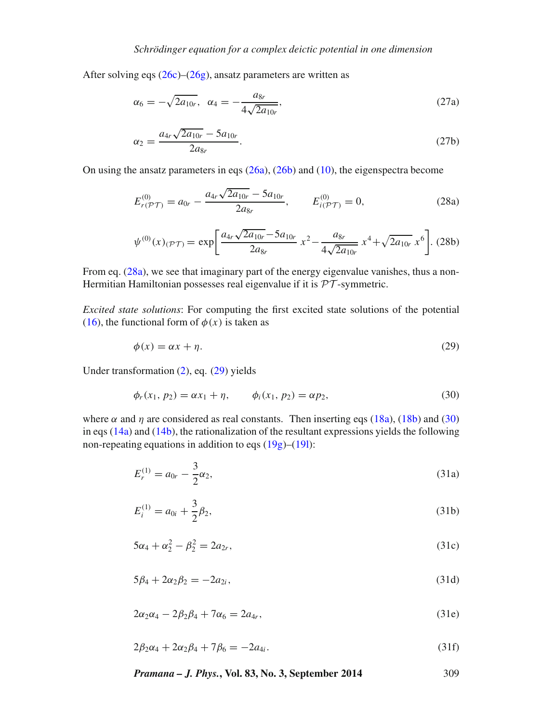After solving eqs  $(26c)$ – $(26g)$ , ansatz parameters are written as

$$
\alpha_6 = -\sqrt{2a_{10r}}, \ \alpha_4 = -\frac{a_{8r}}{4\sqrt{2a_{10r}}},\tag{27a}
$$

$$
\alpha_2 = \frac{a_{4r}\sqrt{2a_{10r}} - 5a_{10r}}{2a_{8r}}.\tag{27b}
$$

On using the ansatz parameters in eqs [\(26a\)](#page-5-3), [\(26b\)](#page-5-6) and [\(10\)](#page-3-1), the eigenspectra become

$$
E_{r(\mathcal{PT})}^{(0)} = a_{0r} - \frac{a_{4r}\sqrt{2a_{10r}} - 5a_{10r}}{2a_{8r}}, \qquad E_{i(\mathcal{PT})}^{(0)} = 0,
$$
 (28a)

$$
\psi^{(0)}(x)_{(\mathcal{PT})} = \exp\left[\frac{a_{4r}\sqrt{2a_{10r}} - 5a_{10r}}{2a_{8r}}x^2 - \frac{a_{8r}}{4\sqrt{2a_{10r}}}x^4 + \sqrt{2a_{10r}}x^6\right].
$$
 (28b)

From eq. [\(28a\)](#page-6-4), we see that imaginary part of the energy eigenvalue vanishes, thus a non-Hermitian Hamiltonian possesses real eigenvalue if it is *PT* -symmetric.

*Excited state solutions*: For computing the first excited state solutions of the potential [\(16\)](#page-4-1), the functional form of  $\phi(x)$  is taken as

$$
\phi(x) = \alpha x + \eta. \tag{29}
$$

Under transformation [\(2\)](#page-1-0), eq. [\(29\)](#page-5-6) yields

$$
\phi_r(x_1, p_2) = \alpha x_1 + \eta, \qquad \phi_i(x_1, p_2) = \alpha p_2,
$$
\n(30)

where  $\alpha$  and  $\eta$  are considered as real constants. Then inserting eqs [\(18a\)](#page-5-10), [\(18b\)](#page-5-11) and [\(30\)](#page-5-7) in eqs  $(14a)$  and  $(14b)$ , the rationalization of the resultant expressions yields the following non-repeating equations in addition to eqs  $(19g)$ – $(19l)$ :

$$
E_r^{(1)} = a_{0r} - \frac{3}{2}\alpha_2,\tag{31a}
$$

$$
E_i^{(1)} = a_{0i} + \frac{3}{2}\beta_2,\tag{31b}
$$

$$
5\alpha_4 + \alpha_2^2 - \beta_2^2 = 2a_{2r},\tag{31c}
$$

$$
5\beta_4 + 2\alpha_2 \beta_2 = -2a_{2i},\tag{31d}
$$

$$
2\alpha_2\alpha_4 - 2\beta_2\beta_4 + 7\alpha_6 = 2a_{4r},\tag{31e}
$$

$$
2\beta_2\alpha_4 + 2\alpha_2\beta_4 + 7\beta_6 = -2a_{4i}.\tag{31f}
$$

*Pramana – J. Phys.***, Vol. 83, No. 3, September 2014** 309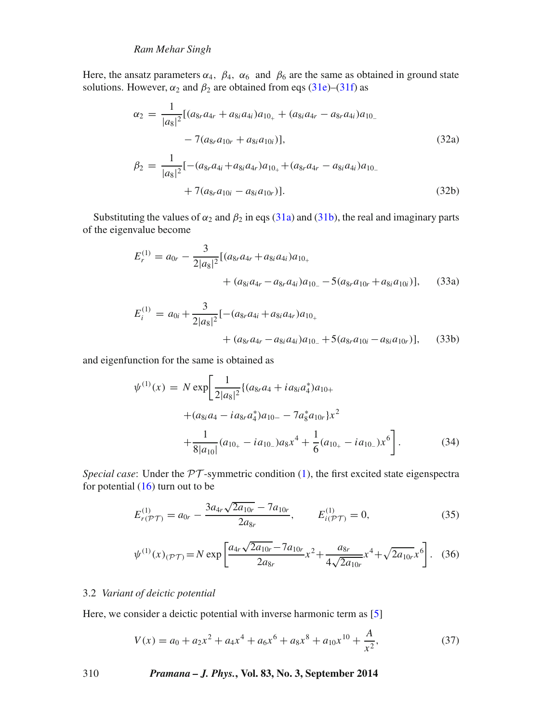Here, the ansatz parameters  $\alpha_4$ ,  $\beta_4$ ,  $\alpha_6$  and  $\beta_6$  are the same as obtained in ground state solutions. However,  $\alpha_2$  and  $\beta_2$  are obtained from eqs [\(31e\)](#page-6-0)–[\(31f\)](#page-6-1) as

$$
\alpha_2 = \frac{1}{|a_8|^2} [(a_{8r}a_{4r} + a_{8i}a_{4i})a_{10_+} + (a_{8i}a_{4r} - a_{8r}a_{4i})a_{10_-}\n- 7(a_{8r}a_{10r} + a_{8i}a_{10i})],
$$
\n(32a)  
\n
$$
\beta_2 = \frac{1}{|a_8|^2} [-(a_{8r}a_{4i} + a_{8i}a_{4r})a_{10_+} + (a_{8r}a_{4r} - a_{8i}a_{4i})a_{10_-}\n+ 7(a_{8r}a_{10i} - a_{8i}a_{10r})].
$$
\n(32b)

Substituting the values of  $\alpha_2$  and  $\beta_2$  in eqs [\(31a\)](#page-5-4) and [\(31b\)](#page-5-5), the real and imaginary parts of the eigenvalue become

$$
E_r^{(1)} = a_{0r} - \frac{3}{2|a_8|^2} [(a_{8r}a_{4r} + a_{8i}a_{4i})a_{10_+} + (a_{8i}a_{4r} - a_{8r}a_{4i})a_{10_-} - 5(a_{8r}a_{10r} + a_{8i}a_{10i})],
$$
 (33a)

$$
E_i^{(1)} = a_{0i} + \frac{3}{2|a_8|^2} [-(a_{8r}a_{4i} + a_{8i}a_{4r})a_{10_+} + (a_{8r}a_{4r} - a_{8i}a_{4i})a_{10_-} + 5(a_{8r}a_{10i} - a_{8i}a_{10r})],
$$
 (33b)

and eigenfunction for the same is obtained as

$$
\psi^{(1)}(x) = N \exp\left[\frac{1}{2|a_8|^2} \{ (a_{8r}a_4 + i a_{8i}a_4^*) a_{10+} + (a_{8i}a_4 - i a_{8r}a_4^*) a_{10-} - 7 a_8^* a_{10r} \} x^2 + \frac{1}{8|a_{10}|} (a_{10+} - i a_{10-}) a_8 x^4 + \frac{1}{6} (a_{10+} - i a_{10-}) x^6 \right].
$$
\n(34)

*Special case*: Under the *PT* -symmetric condition [\(1\)](#page-1-1), the first excited state eigenspectra for potential  $(16)$  turn out to be

$$
E_{r(\mathcal{PT})}^{(1)} = a_{0r} - \frac{3a_{4r}\sqrt{2a_{10r}} - 7a_{10r}}{2a_{8r}}, \qquad E_{i(\mathcal{PT})}^{(1)} = 0,
$$
\n(35)

$$
\psi^{(1)}(x)_{(\mathcal{PT})} = N \exp \left[ \frac{a_{4r} \sqrt{2a_{10r}} - 7a_{10r}}{2a_{8r}} x^2 + \frac{a_{8r}}{4\sqrt{2a_{10r}}} x^4 + \sqrt{2a_{10r}} x^6 \right].
$$
 (36)

### 3.2 *Variant of deictic potential*

Here, we consider a deictic potential with inverse harmonic term as [\[5\]](#page-14-5)

$$
V(x) = a_0 + a_2 x^2 + a_4 x^4 + a_6 x^6 + a_8 x^8 + a_{10} x^{10} + \frac{A}{x^2},
$$
\n(37)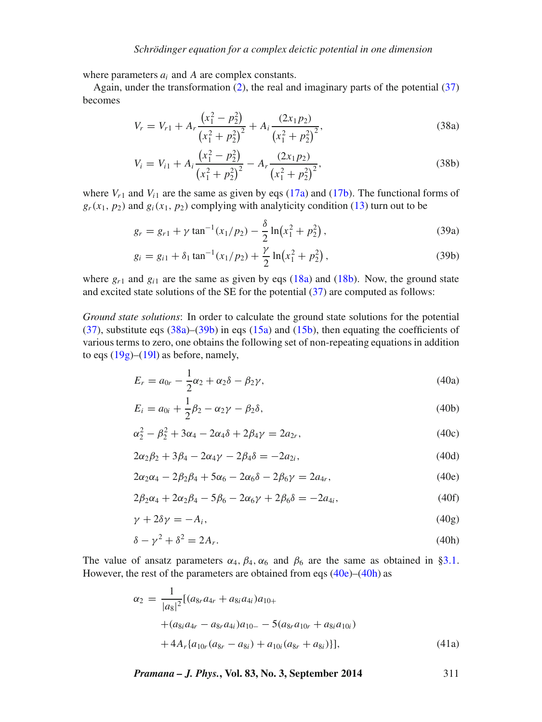where parameters  $a_i$  and A are complex constants.

Again, under the transformation  $(2)$ , the real and imaginary parts of the potential  $(37)$ becomes

$$
V_r = V_{r1} + A_r \frac{\left(x_1^2 - p_2^2\right)}{\left(x_1^2 + p_2^2\right)^2} + A_i \frac{\left(2x_1 p_2\right)}{\left(x_1^2 + p_2^2\right)^2},\tag{38a}
$$

$$
V_i = V_{i1} + A_i \frac{\left(x_1^2 - p_2^2\right)}{\left(x_1^2 + p_2^2\right)^2} - A_r \frac{\left(2x_1 p_2\right)}{\left(x_1^2 + p_2^2\right)^2},\tag{38b}
$$

where  $V_{r1}$  and  $V_{i1}$  are the same as given by eqs [\(17a\)](#page-4-2) and [\(17b\)](#page-4-3). The functional forms of  $g_r(x_1, p_2)$  and  $g_i(x_1, p_2)$  complying with analyticity condition [\(13\)](#page-3-4) turn out to be

$$
g_r = g_{r1} + \gamma \tan^{-1}(x_1/p_2) - \frac{\delta}{2} \ln(x_1^2 + p_2^2), \qquad (39a)
$$

<span id="page-10-0"></span>
$$
g_i = g_{i1} + \delta_1 \tan^{-1}(x_1/p_2) + \frac{\gamma}{2} \ln(x_1^2 + p_2^2), \tag{39b}
$$

where  $g_{r1}$  and  $g_{i1}$  are the same as given by eqs [\(18a\)](#page-5-10) and [\(18b\)](#page-5-11). Now, the ground state and excited state solutions of the SE for the potential [\(37\)](#page-6-4) are computed as follows:

*Ground state solutions*: In order to calculate the ground state solutions for the potential  $(37)$ , substitute eqs  $(38a)$ – $(39b)$  in eqs  $(15a)$  and  $(15b)$ , then equating the coefficients of various terms to zero, one obtains the following set of non-repeating equations in addition to eqs  $(19g)$ – $(19l)$  as before, namely,

<span id="page-10-3"></span>
$$
E_r = a_{0r} - \frac{1}{2}\alpha_2 + \alpha_2\delta - \beta_2\gamma,
$$
\n(40a)

<span id="page-10-4"></span>
$$
E_i = a_{0i} + \frac{1}{2}\beta_2 - \alpha_2\gamma - \beta_2\delta,
$$
\n(40b)

$$
\alpha_2^2 - \beta_2^2 + 3\alpha_4 - 2\alpha_4 \delta + 2\beta_4 \gamma = 2a_{2r},\tag{40c}
$$

$$
2\alpha_2\beta_2 + 3\beta_4 - 2\alpha_4\gamma - 2\beta_4\delta = -2a_{2i},\tag{40d}
$$

<span id="page-10-1"></span>
$$
2\alpha_2 \alpha_4 - 2\beta_2 \beta_4 + 5\alpha_6 - 2\alpha_6 \delta - 2\beta_6 \gamma = 2a_{4r},\tag{40e}
$$

$$
2\beta_2\alpha_4 + 2\alpha_2\beta_4 - 5\beta_6 - 2\alpha_6\gamma + 2\beta_6\delta = -2a_{4i},\tag{40f}
$$

<span id="page-10-5"></span>
$$
\gamma + 2\delta\gamma = -A_i,\tag{40g}
$$

<span id="page-10-2"></span>
$$
\delta - \gamma^2 + \delta^2 = 2A_r. \tag{40h}
$$

The value of ansatz parameters  $\alpha_4$ ,  $\beta_4$ ,  $\alpha_6$  and  $\beta_6$  are the same as obtained in [§3.1.](#page-4-4) However, the rest of the parameters are obtained from eqs  $(40e)$ – $(40h)$  as

$$
\alpha_2 = \frac{1}{|a_8|^2} [(a_{8r}a_{4r} + a_{8i}a_{4i})a_{10+} + (a_{8i}a_{4r} - a_{8r}a_{4i})a_{10-} - 5(a_{8r}a_{10r} + a_{8i}a_{10i}) + 4A_r \{a_{10r}(a_{8r} - a_{8i}) + a_{10i}(a_{8r} + a_{8i})\}],
$$
\n(41a)

*Pramana – J. Phys.***, Vol. 83, No. 3, September 2014** 311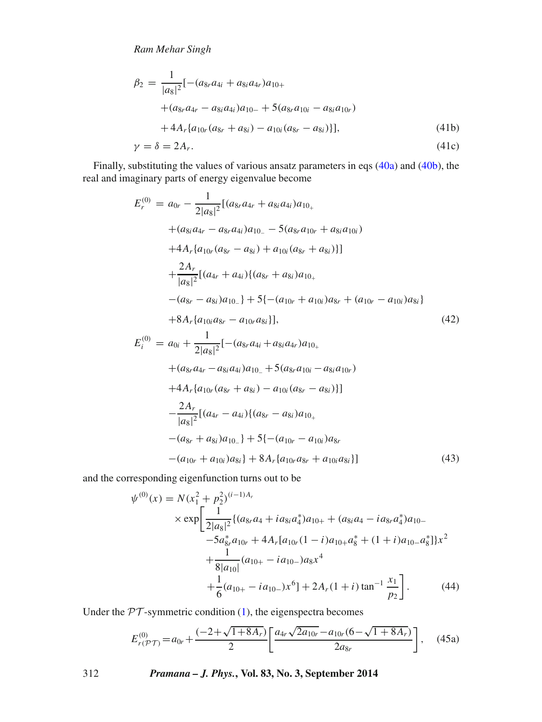*Ram Mehar Singh*

$$
\beta_2 = \frac{1}{|a_8|^2} [-(a_{8r}a_{4i} + a_{8i}a_{4r})a_{10+} \n+ (a_{8r}a_{4r} - a_{8i}a_{4i})a_{10-} + 5(a_{8r}a_{10i} - a_{8i}a_{10r}) \n+ 4A_r \{a_{10r}(a_{8r} + a_{8i}) - a_{10i}(a_{8r} - a_{8i})\}],
$$
\n(41b)  
\n
$$
\gamma = \delta = 2A_r.
$$
\n(41c)

Finally, substituting the values of various ansatz parameters in eqs 
$$
(40a)
$$
 and  $(40b)$ , the real and imaginary parts of energy eigenvalue become

<span id="page-11-0"></span>
$$
E_r^{(0)} = a_{0r} - \frac{1}{2|a_8|^2} [(a_{8r}a_{4r} + a_{8i}a_{4i})a_{10_+}\n+ (a_{8i}a_{4r} - a_{8r}a_{4i})a_{10_-} - 5(a_{8r}a_{10r} + a_{8i}a_{10i})\n+ 4A_r \{a_{10r}(a_{8r} - a_{8i}) + a_{10i}(a_{8r} + a_{8i})\}\n+ \frac{2A_r}{|a_8|^2} [(a_{4r} + a_{4i})\{(a_{8r} + a_{8i})a_{10_+}\n- (a_{8r} - a_{8i})a_{10_-}\} + 5\{-(a_{10r} + a_{10i})a_{8r} + (a_{10r} - a_{10i})a_{8i}\}\n+ 8A_r \{a_{10i}a_{8r} - a_{10r}a_{8i}\}],
$$
\n
$$
E_i^{(0)} = a_{0i} + \frac{1}{2|a_8|^2} [- (a_{8r}a_{4i} + a_{8i}a_{4r})a_{10_+}\n+ (a_{8r}a_{4r} - a_{8i}a_{4i})a_{10_-} + 5(a_{8r}a_{10i} - a_{8i}a_{10r})\n+ 4A_r \{a_{10r}(a_{8r} + a_{8i}) - a_{10i}(a_{8r} - a_{8i})\}]
$$
\n
$$
- \frac{2A_r}{|a_8|^2} [(a_{4r} - a_{4i})\{(a_{8r} - a_{8i})a_{10_+}\n- (a_{8r} + a_{8i})a_{10_-}\} + 5\{- (a_{10r} - a_{10i})a_{8r}\n- (a_{8r} + a_{8i})a_{10_-}\} + 5\{- (a_{10r} - a_{10i})a_{8r}\n- (a_{8r} + a_{8i})a_{10_-}\} + 5\{- (a_{10r} - a_{10i})a_{8r}\n- 8r\}
$$

 $-(a_{10r} + a_{10i})a_{8i} + 8A_r\{a_{10r}a_{8r} + a_{10i}a_{8i}\}\$  (43) and the corresponding eigenfunction turns out to be

$$
\psi^{(0)}(x) = N(x_1^2 + p_2^2)^{(i-1)A_r}
$$
  
\n
$$
\times \exp\left[\frac{1}{2|a_8|^2}\{(a_8, a_4 + ia_{8i}a_4^*)a_{10+} + (a_{8i}a_4 - ia_8a_4^*)a_{10-} -5a_{8r}^*a_{10r} + 4A_r[a_{10r}(1-i)a_{10+}a_8^* + (1+i)a_{10-}a_8^*]\right]x^2
$$
  
\n
$$
+\frac{1}{8|a_{10}|}(a_{10+} - ia_{10-})a_8x^4
$$
  
\n
$$
+\frac{1}{6}(a_{10+} - ia_{10-})x^6] + 2A_r(1+i)\tan^{-1}\frac{x_1}{p_2}\right].
$$
 (44)

Under the  $PT$ -symmetric condition [\(1\)](#page-1-1), the eigenspectra becomes

$$
E_{r(\mathcal{PT})}^{(0)} = a_{0r} + \frac{(-2 + \sqrt{1 + 8A_r})}{2} \left[ \frac{a_{4r}\sqrt{2a_{10r}} - a_{10r}(6 - \sqrt{1 + 8A_r})}{2a_{8r}} \right], \quad (45a)
$$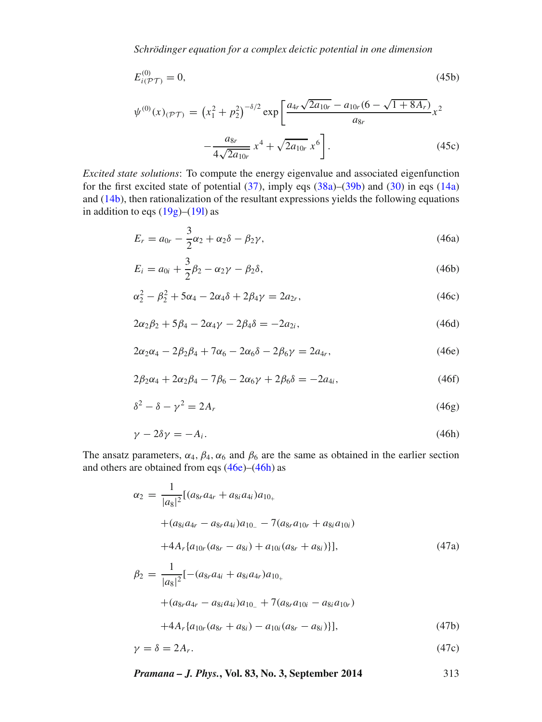*Schrödinger equation for a complex deictic potential in one dimension*

$$
E_{i(\mathcal{PT})}^{(0)} = 0,\tag{45b}
$$

$$
\psi^{(0)}(x)\,(\mathcal{P}\mathcal{T}) = \left(x_1^2 + p_2^2\right)^{-\delta/2} \exp\left[\frac{a_{4r}\sqrt{2a_{10r}} - a_{10r}(6 - \sqrt{1 + 8A_r})}{a_{8r}}x^2 - \frac{a_{8r}}{4\sqrt{2a_{10r}}}x^4 + \sqrt{2a_{10r}}x^6\right].\tag{45c}
$$

*Excited state solutions*: To compute the energy eigenvalue and associated eigenfunction for the first excited state of potential  $(37)$ , imply eqs  $(38a)$ – $(39b)$  and  $(30)$  in eqs  $(14a)$ and [\(14b\)](#page-3-6), then rationalization of the resultant expressions yields the following equations in addition to eqs  $(19g)$ – $(19l)$  as

$$
E_r = a_{0r} - \frac{3}{2}\alpha_2 + \alpha_2\delta - \beta_2\gamma,
$$
\n(46a)

$$
E_i = a_{0i} + \frac{3}{2}\beta_2 - \alpha_2\gamma - \beta_2\delta,
$$
\n(46b)

$$
\alpha_2^2 - \beta_2^2 + 5\alpha_4 - 2\alpha_4 \delta + 2\beta_4 \gamma = 2a_{2r},
$$
\n(46c)

$$
2\alpha_2\beta_2 + 5\beta_4 - 2\alpha_4\gamma - 2\beta_4\delta = -2a_{2i},\tag{46d}
$$

$$
2\alpha_2\alpha_4 - 2\beta_2\beta_4 + 7\alpha_6 - 2\alpha_6\delta - 2\beta_6\gamma = 2a_{4r},
$$
\n(46e)

$$
2\beta_2\alpha_4 + 2\alpha_2\beta_4 - 7\beta_6 - 2\alpha_6\gamma + 2\beta_6\delta = -2a_{4i},\tag{46f}
$$

$$
\delta^2 - \delta - \gamma^2 = 2A_r \tag{46g}
$$

<span id="page-12-0"></span>
$$
\gamma - 2\delta \gamma = -A_i. \tag{46h}
$$

The ansatz parameters,  $\alpha_4$ ,  $\beta_4$ ,  $\alpha_6$  and  $\beta_6$  are the same as obtained in the earlier section and others are obtained from eqs  $(46e)$ – $(46h)$  as

$$
\alpha_2 = \frac{1}{|a_8|^2} [(a_{8r}a_{4r} + a_{8i}a_{4i})a_{10_+}\n+ (a_{8i}a_{4r} - a_{8r}a_{4i})a_{10_-} - 7(a_{8r}a_{10r} + a_{8i}a_{10i})\n+ 4A_r \{a_{10r}(a_{8r} - a_{8i}) + a_{10i}(a_{8r} + a_{8i})\}],
$$
\n(47a)  
\n
$$
\beta_2 = \frac{1}{|a_8|^2} [-(a_{8r}a_{4i} + a_{8i}a_{4r})a_{10_+}\n+ (a_{8r}a_{4r} - a_{8i}a_{4i})a_{10_-} + 7(a_{8r}a_{10i} - a_{8i}a_{10r})\n+ 4A_r \{a_{10r}(a_{8r} + a_{8i}) - a_{10i}(a_{8r} - a_{8i})\}],
$$
\n(47b)

$$
\gamma = \delta = 2A_r. \tag{47c}
$$

*Pramana – J. Phys.***, Vol. 83, No. 3, September 2014** 313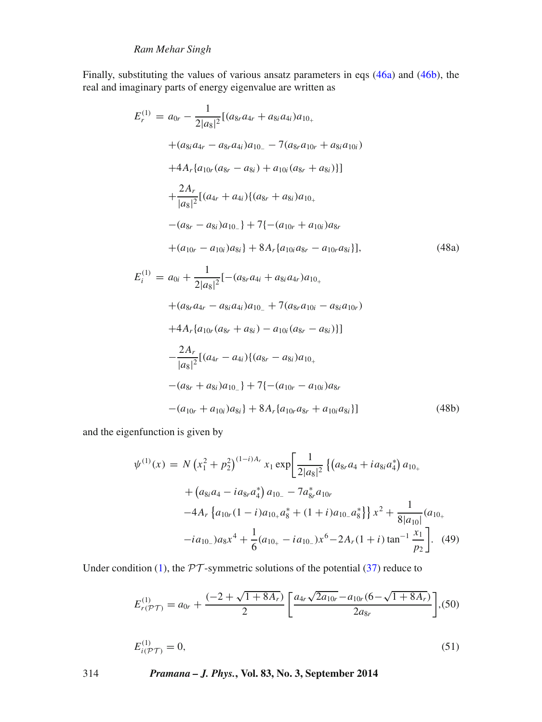# *Ram Mehar Singh*

Finally, substituting the values of various ansatz parameters in eqs [\(46a\)](#page-10-5) and [\(46b\)](#page-10-2), the real and imaginary parts of energy eigenvalue are written as

$$
E_r^{(1)} = a_{0r} - \frac{1}{2|a_8|^2} [(a_{8r}a_{4r} + a_{8i}a_{4i})a_{10+} + (a_{8i}a_{4r} - a_{8r}a_{4i})a_{10-} - 7(a_{8r}a_{10r} + a_{8i}a_{10i}) + 4A_r\{a_{10r}(a_{8r} - a_{8i}) + a_{10i}(a_{8r} + a_{8i})\}] + \frac{2A_r}{|a_8|^2} [(a_{4r} + a_{4i})\{(a_{8r} + a_{8i})a_{10+} - (a_{8r} - a_{8i})a_{10-}\} + 7\{-(a_{10r} + a_{10i})a_{8r} + (a_{10r} - a_{10i})a_{8i}\} + 8A_r\{a_{10i}a_{8r} - a_{10r}a_{8i}\}],
$$
\n
$$
E_i^{(1)} = a_{0i} + \frac{1}{2|a_8|^2} [-(a_{8r}a_{4i} + a_{8i}a_{4r})a_{10+} + (a_{8r}a_{4r} - a_{8i}a_{4i})a_{10-} + 7(a_{8r}a_{10i} - a_{8i}a_{10r}) + 4A_r\{a_{10r}(a_{8r} + a_{8i}) - a_{10i}(a_{8r} - a_{8i})\}]
$$
\n
$$
- \frac{2A_r}{|a_8|^2} [(a_{4r} - a_{4i})\{(a_{8r} - a_{8i})a_{10+} - (a_{8r} + a_{8i})a_{10-}\} + 7\{-a_{10r} - a_{10i})a_{8r} - (a_{10r} + a_{10i})a_{8i}\} + 8A_r\{a_{10r}a_{8r} + a_{10i}a_{8i}\}]
$$
\n(48b)

and the eigenfunction is given by

$$
\psi^{(1)}(x) = N \left( x_1^2 + p_2^2 \right)^{(1-i)A_r} x_1 \exp \left[ \frac{1}{2|a_8|^2} \left\{ \left( a_8, a_4 + i a_{8i} a_4^* \right) a_{10_+} \right. \right.\left. + \left( a_8, a_4 - i a_8, a_4^* \right) a_{10_-} - 7 a_8^* a_{10r} \right.\left. - 4A_r \left\{ a_{10r} (1-i) a_{10_+} a_8^* + (1+i) a_{10_-} a_8^* \right\} \right\} x^2 + \frac{1}{8|a_{10}|} (a_{10_+} - ia_{10_-}) a_8 x^4 + \frac{1}{6} (a_{10_+} - ia_{10_-}) x^6 - 2A_r (1+i) \tan^{-1} \frac{x_1}{p_2} \right]. \tag{49}
$$

Under condition [\(1\)](#page-1-1), the  $PT$ -symmetric solutions of the potential [\(37\)](#page-6-4) reduce to

$$
E_{r(\mathcal{PT})}^{(1)} = a_{0r} + \frac{(-2 + \sqrt{1 + 8A_r})}{2} \left[ \frac{a_{4r}\sqrt{2a_{10r}} - a_{10r}(6 - \sqrt{1 + 8A_r})}{2a_{8r}} \right], (50)
$$

$$
E_{i(\mathcal{PT})}^{(1)} = 0,\t\t(51)
$$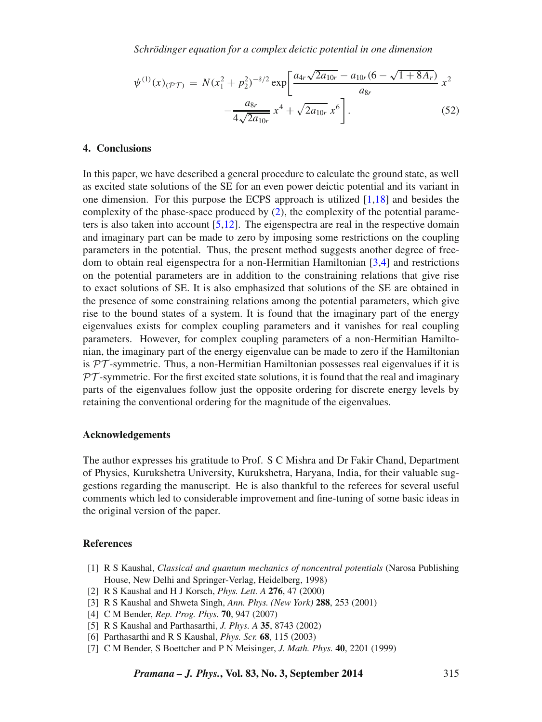*Schrödinger equation for a complex deictic potential in one dimension*

$$
\psi^{(1)}(x)_{(\mathcal{PT})} = N(x_1^2 + p_2^2)^{-\delta/2} \exp\left[\frac{a_{4r}\sqrt{2a_{10r}} - a_{10r}(6 - \sqrt{1 + 8A_r})}{a_{8r}} x^2 - \frac{a_{8r}}{4\sqrt{2a_{10r}}} x^4 + \sqrt{2a_{10r}} x^6\right].
$$
\n(52)

### <span id="page-14-7"></span>**4. Conclusions**

In this paper, we have described a general procedure to calculate the ground state, as well as excited state solutions of the SE for an even power deictic potential and its variant in one dimension. For this purpose the ECPS approach is utilized [\[1](#page-14-0)[,18\]](#page-15-8) and besides the complexity of the phase-space produced by [\(2\)](#page-1-0), the complexity of the potential parameters is also taken into account  $[5,12]$  $[5,12]$ . The eigenspectra are real in the respective domain and imaginary part can be made to zero by imposing some restrictions on the coupling parameters in the potential. Thus, the present method suggests another degree of freedom to obtain real eigenspectra for a non-Hermitian Hamiltonian [\[3,](#page-14-3)[4\]](#page-14-4) and restrictions on the potential parameters are in addition to the constraining relations that give rise to exact solutions of SE. It is also emphasized that solutions of the SE are obtained in the presence of some constraining relations among the potential parameters, which give rise to the bound states of a system. It is found that the imaginary part of the energy eigenvalues exists for complex coupling parameters and it vanishes for real coupling parameters. However, for complex coupling parameters of a non-Hermitian Hamiltonian, the imaginary part of the energy eigenvalue can be made to zero if the Hamiltonian is *PT* -symmetric. Thus, a non-Hermitian Hamiltonian possesses real eigenvalues if it is *PT* -symmetric. For the first excited state solutions, it is found that the real and imaginary parts of the eigenvalues follow just the opposite ordering for discrete energy levels by retaining the conventional ordering for the magnitude of the eigenvalues.

#### **Acknowledgements**

The author expresses his gratitude to Prof. S C Mishra and Dr Fakir Chand, Department of Physics, Kurukshetra University, Kurukshetra, Haryana, India, for their valuable suggestions regarding the manuscript. He is also thankful to the referees for several useful comments which led to considerable improvement and fine-tuning of some basic ideas in the original version of the paper.

### **References**

- <span id="page-14-0"></span>[1] R S Kaushal, *Classical and quantum mechanics of noncentral potentials* (Narosa Publishing House, New Delhi and Springer-Verlag, Heidelberg, 1998)
- <span id="page-14-2"></span>[2] R S Kaushal and H J Korsch, *Phys. Lett. A* **276**, 47 (2000)
- <span id="page-14-3"></span>[3] R S Kaushal and Shweta Singh, *Ann. Phys. (New York)* **288**, 253 (2001)
- <span id="page-14-4"></span>[4] C M Bender, *Rep. Prog. Phys.* **70**, 947 (2007)
- <span id="page-14-5"></span>[5] R S Kaushal and Parthasarthi, *J. Phys. A* **35**, 8743 (2002)
- <span id="page-14-6"></span>[6] Parthasarthi and R S Kaushal, *Phys. Scr.* **68**, 115 (2003)
- <span id="page-14-1"></span>[7] C M Bender, S Boettcher and P N Meisinger, *J. Math. Phys.* **40**, 2201 (1999)